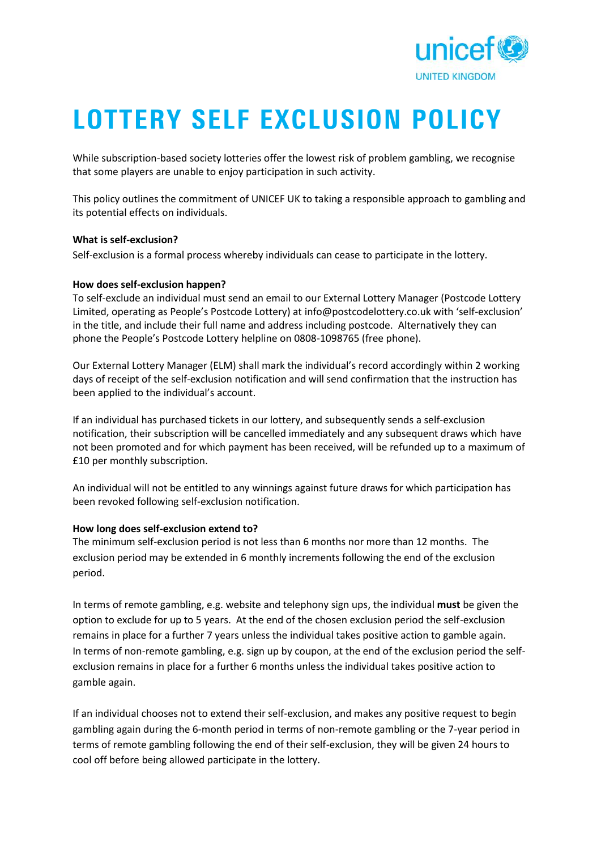

# **LOTTERY SELF EXCLUSION POLICY**

While subscription-based society lotteries offer the lowest risk of problem gambling, we recognise that some players are unable to enjoy participation in such activity.

This policy outlines the commitment of UNICEF UK to taking a responsible approach to gambling and its potential effects on individuals.

#### **What is self-exclusion?**

Self-exclusion is a formal process whereby individuals can cease to participate in the lottery.

#### **How does self-exclusion happen?**

To self-exclude an individual must send an email to our External Lottery Manager (Postcode Lottery Limited, operating as People's Postcode Lottery) at info@postcodelottery.co.uk with 'self-exclusion' in the title, and include their full name and address including postcode. Alternatively they can phone the People's Postcode Lottery helpline on 0808-1098765 (free phone).

Our External Lottery Manager (ELM) shall mark the individual's record accordingly within 2 working days of receipt of the self-exclusion notification and will send confirmation that the instruction has been applied to the individual's account.

If an individual has purchased tickets in our lottery, and subsequently sends a self-exclusion notification, their subscription will be cancelled immediately and any subsequent draws which have not been promoted and for which payment has been received, will be refunded up to a maximum of £10 per monthly subscription.

An individual will not be entitled to any winnings against future draws for which participation has been revoked following self-exclusion notification.

## **How long does self-exclusion extend to?**

The minimum self-exclusion period is not less than 6 months nor more than 12 months. The exclusion period may be extended in 6 monthly increments following the end of the exclusion period.

In terms of remote gambling, e.g. website and telephony sign ups, the individual **must** be given the option to exclude for up to 5 years. At the end of the chosen exclusion period the self-exclusion remains in place for a further 7 years unless the individual takes positive action to gamble again. In terms of non-remote gambling, e.g. sign up by coupon, at the end of the exclusion period the self exclusion remains in place for a further 6 months unless the individual takes positive action to gamble again.

If an individual chooses not to extend their self-exclusion, and makes any positive request to begin gambling again during the 6-month period in terms of non-remote gambling or the 7-year period in terms of remote gambling following the end of their self-exclusion, they will be given 24 hours to cool off before being allowed participate in the lottery.